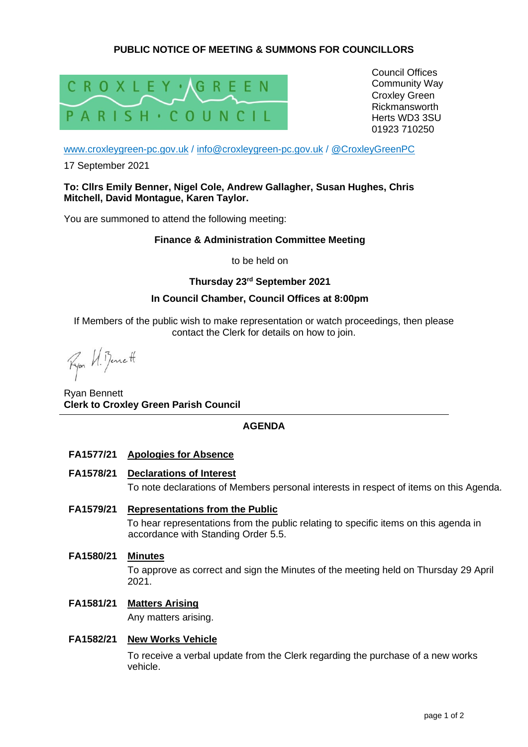# **PUBLIC NOTICE OF MEETING & SUMMONS FOR COUNCILLORS**



Council Offices Community Way Croxley Green Rickmansworth Herts WD3 3SU 01923 710250

[www.croxleygreen-pc.gov.uk](http://www.croxleygreen-pc.gov.uk/) / [info@croxleygreen-pc.gov.uk](mailto:info@croxleygreen-pc.gov.uk) / [@CroxleyGreenPC](https://twitter.com/CroxleyGreenPC)

17 September 2021

### **To: Cllrs Emily Benner, Nigel Cole, Andrew Gallagher, Susan Hughes, Chris Mitchell, David Montague, Karen Taylor.**

You are summoned to attend the following meeting:

### **Finance & Administration Committee Meeting**

to be held on

# **Thursday 23 rd September 2021**

# **In Council Chamber, Council Offices at 8:00pm**

If Members of the public wish to make representation or watch proceedings, then please contact the Clerk for details on how to join.

Ryon U. Benett

Ryan Bennett **Clerk to Croxley Green Parish Council**

# **AGENDA**

- **FA1577/21 Apologies for Absence**
- **FA1578/21 Declarations of Interest**

To note declarations of Members personal interests in respect of items on this Agenda.

# **FA1579/21 Representations from the Public**

To hear representations from the public relating to specific items on this agenda in accordance with Standing Order 5.5.

**FA1580/21 Minutes**

To approve as correct and sign the Minutes of the meeting held on Thursday 29 April 2021.

# **FA1581/21 Matters Arising**

Any matters arising.

# **FA1582/21 New Works Vehicle**

To receive a verbal update from the Clerk regarding the purchase of a new works vehicle.